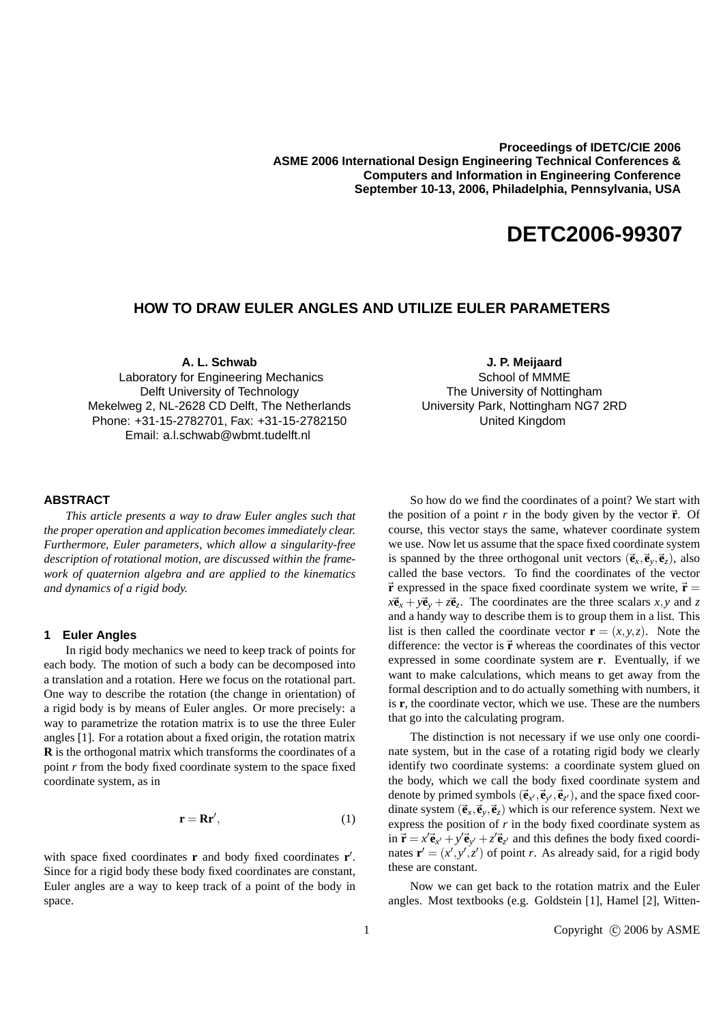**Proceedings of IDETC/CIE 2006 ASME 2006 International Design Engineering Technical Conferences & Computers and Information in Engineering Conference September 10-13, 2006, Philadelphia, Pennsylvania, USA** 

# **DETC2006-99307**

## **HOW TO DRAW EULER ANGLES AND UTILIZE EULER PARAMETERS**

**A. L. Schwab**

Laboratory for Engineering Mechanics Delft University of Technology Mekelweg 2, NL-2628 CD Delft, The Netherlands Phone: +31-15-2782701, Fax: +31-15-2782150 Email: a.l.schwab@wbmt.tudelft.nl

#### **ABSTRACT**

*This article presents a way to draw Euler angles such that the proper operation and application becomes immediately clear. Furthermore, Euler parameters, which allow a singularity-free description of rotational motion, are discussed within the framework of quaternion algebra and are applied to the kinematics and dynamics of a rigid body.*

#### **1 Euler Angles**

In rigid body mechanics we need to keep track of points for each body. The motion of such a body can be decomposed into a translation and a rotation. Here we focus on the rotational part. One way to describe the rotation (the change in orientation) of a rigid body is by means of Euler angles. Or more precisely: a way to parametrize the rotation matrix is to use the three Euler angles [1]. For a rotation about a fixed origin, the rotation matrix **R** is the orthogonal matrix which transforms the coordinates of a point *r* from the body fixed coordinate system to the space fixed coordinate system, as in

$$
\mathbf{r} = \mathbf{R}\mathbf{r}',\tag{1}
$$

with space fixed coordinates **r** and body fixed coordinates **r**'. Since for a rigid body these body fixed coordinates are constant, Euler angles are a way to keep track of a point of the body in space.

**J. P. Meijaard**

School of MMME The University of Nottingham University Park, Nottingham NG7 2RD United Kingdom

So how do we find the coordinates of a point? We start with the position of a point  $r$  in the body given by the vector  $\vec{r}$ . Of course, this vector stays the same, whatever coordinate system we use. Now let us assume that the space fixed coordinate system is spanned by the three orthogonal unit vectors  $(\vec{e}_x, \vec{e}_y, \vec{e}_z)$ , also called the base vectors. To find the coordinates of the vector  $\vec{r}$  expressed in the space fixed coordinate system we write,  $\vec{r}$  =  $x\vec{e}_x + y\vec{e}_y + z\vec{e}_z$ . The coordinates are the three scalars *x*, *y* and *z* and a handy way to describe them is to group them in a list. This list is then called the coordinate vector  $\mathbf{r} = (x, y, z)$ . Note the difference: the vector is  $\vec{r}$  whereas the coordinates of this vector expressed in some coordinate system are **r**. Eventually, if we want to make calculations, which means to get away from the formal description and to do actually something with numbers, it is **r**, the coordinate vector, which we use. These are the numbers that go into the calculating program.

The distinction is not necessary if we use only one coordinate system, but in the case of a rotating rigid body we clearly identify two coordinate systems: a coordinate system glued on the body, which we call the body fixed coordinate system and denote by primed symbols  $(\vec{e}_{x'}, \vec{e}_{y'}, \vec{e}_{z'})$ , and the space fixed coordinate system  $(\vec{e}_x, \vec{e}_y, \vec{e}_z)$  which is our reference system. Next we express the position of *r* in the body fixed coordinate system as in  $\vec{r} = x'\vec{e}_{x'} + y'\vec{e}_{y'} + z'\vec{e}_{z'}$  and this defines the body fixed coordinates  $\mathbf{r}' = (x', y', z')$  of point *r*. As already said, for a rigid body these are constant.

Now we can get back to the rotation matrix and the Euler angles. Most textbooks (e.g. Goldstein [1], Hamel [2], Witten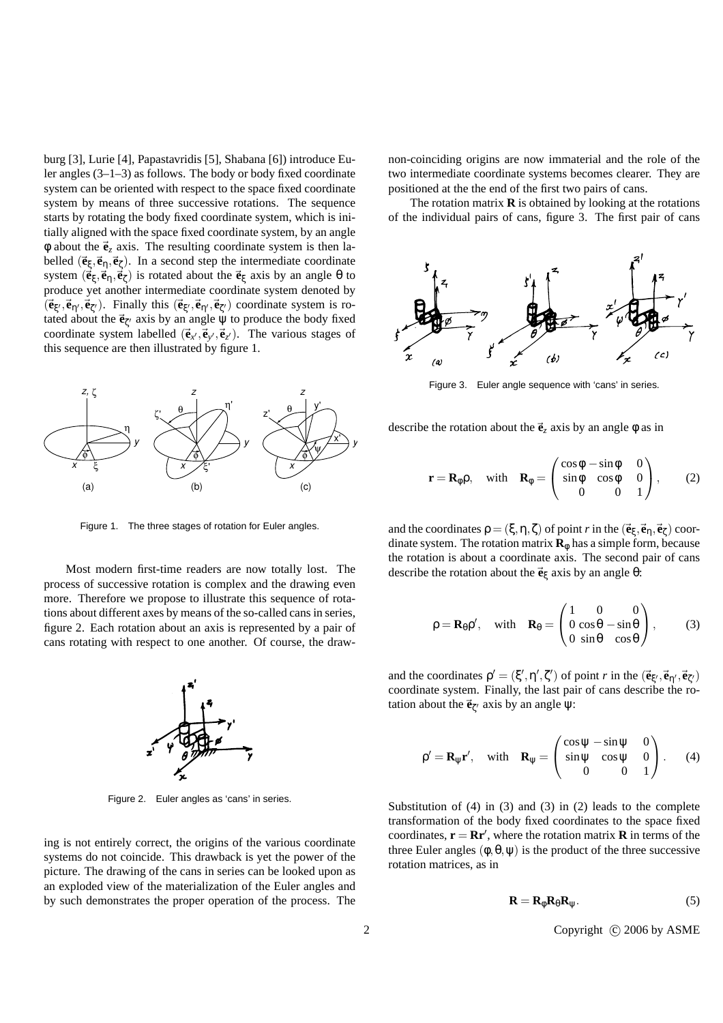burg [3], Lurie [4], Papastavridis [5], Shabana [6]) introduce Euler angles (3–1–3) as follows. The body or body fixed coordinate system can be oriented with respect to the space fixed coordinate system by means of three successive rotations. The sequence starts by rotating the body fixed coordinate system, which is initially aligned with the space fixed coordinate system, by an angle  $\phi$  about the  $\vec{\mathbf{e}}_z$  axis. The resulting coordinate system is then labelled  $(\vec{e}_{\xi}, \vec{e}_{\eta}, \vec{e}_{\zeta})$ . In a second step the intermediate coordinate system  $(\vec{e}_{\xi}, \vec{e}_{\eta}, \vec{e}_{\zeta})$  is rotated about the  $\vec{e}_{\xi}$  axis by an angle  $\theta$  to produce yet another intermediate coordinate system denoted by  $(\vec{\mathbf{e}}_{\xi}, \vec{\mathbf{e}}_{\eta}, \vec{\mathbf{e}}_{\zeta})$ . Finally this  $(\vec{\mathbf{e}}_{\xi}, \vec{\mathbf{e}}_{\eta}, \vec{\mathbf{e}}_{\zeta})$  coordinate system is rotated about the  $\vec{\mathbf{e}}_{\zeta'}$  axis by an angle  $\psi$  to produce the body fixed coordinate system labelled  $(\vec{e}_{x'}, \vec{e}_{y'}, \vec{e}_{z'})$ . The various stages of this sequence are then illustrated by figure 1.



Figure 1. The three stages of rotation for Euler angles.

Most modern first-time readers are now totally lost. The process of successive rotation is complex and the drawing even more. Therefore we propose to illustrate this sequence of rotations about different axes by means of the so-called cans in series, figure 2. Each rotation about an axis is represented by a pair of cans rotating with respect to one another. Of course, the draw-



Figure 2. Euler angles as 'cans' in series.

ing is not entirely correct, the origins of the various coordinate systems do not coincide. This drawback is yet the power of the picture. The drawing of the cans in series can be looked upon as an exploded view of the materialization of the Euler angles and by such demonstrates the proper operation of the process. The non-coinciding origins are now immaterial and the role of the two intermediate coordinate systems becomes clearer. They are positioned at the the end of the first two pairs of cans.

The rotation matrix  $\bf{R}$  is obtained by looking at the rotations of the individual pairs of cans, figure 3. The first pair of cans



Figure 3. Euler angle sequence with 'cans' in series.

describe the rotation about the  $\vec{e}_z$  axis by an angle  $\phi$  as in

$$
\mathbf{r} = \mathbf{R}_{\phi}\rho, \text{ with } \mathbf{R}_{\phi} = \begin{pmatrix} \cos\phi - \sin\phi & 0 \\ \sin\phi & \cos\phi & 0 \\ 0 & 0 & 1 \end{pmatrix}, \qquad (2)
$$

and the coordinates  $\rho = (\xi, \eta, \zeta)$  of point *r* in the  $(\vec{\mathbf{e}}_{\xi}, \vec{\mathbf{e}}_{\eta}, \vec{\mathbf{e}}_{\zeta})$  coordinate system. The rotation matrix  $\mathbf{R}_{\phi}$  has a simple form, because the rotation is about a coordinate axis. The second pair of cans describe the rotation about the~**e**<sup>ξ</sup> axis by an angle θ:

$$
\rho = \mathbf{R}_{\theta} \rho', \quad \text{with} \quad \mathbf{R}_{\theta} = \begin{pmatrix} 1 & 0 & 0 \\ 0 & \cos \theta & -\sin \theta \\ 0 & \sin \theta & \cos \theta \end{pmatrix}, \tag{3}
$$

and the coordinates  $\rho' = (\xi', \eta', \zeta')$  of point *r* in the  $(\vec{e}_{\xi'}, \vec{e}_{\eta'}, \vec{e}_{\zeta'})$ coordinate system. Finally, the last pair of cans describe the rotation about the  $\vec{\mathbf{e}}_{\zeta}$  axis by an angle  $\psi$ :

$$
\rho' = \mathbf{R}_{\psi}\mathbf{r}', \quad \text{with} \quad \mathbf{R}_{\psi} = \begin{pmatrix} \cos \psi - \sin \psi & 0 \\ \sin \psi & \cos \psi & 0 \\ 0 & 0 & 1 \end{pmatrix}.
$$
 (4)

Substitution of (4) in (3) and (3) in (2) leads to the complete transformation of the body fixed coordinates to the space fixed coordinates,  $\mathbf{r} = \mathbf{R} \mathbf{r}'$ , where the rotation matrix **R** in terms of the three Euler angles  $(\phi, \theta, \psi)$  is the product of the three successive rotation matrices, as in

$$
\mathbf{R} = \mathbf{R}_{\phi} \mathbf{R}_{\theta} \mathbf{R}_{\psi}.
$$
 (5)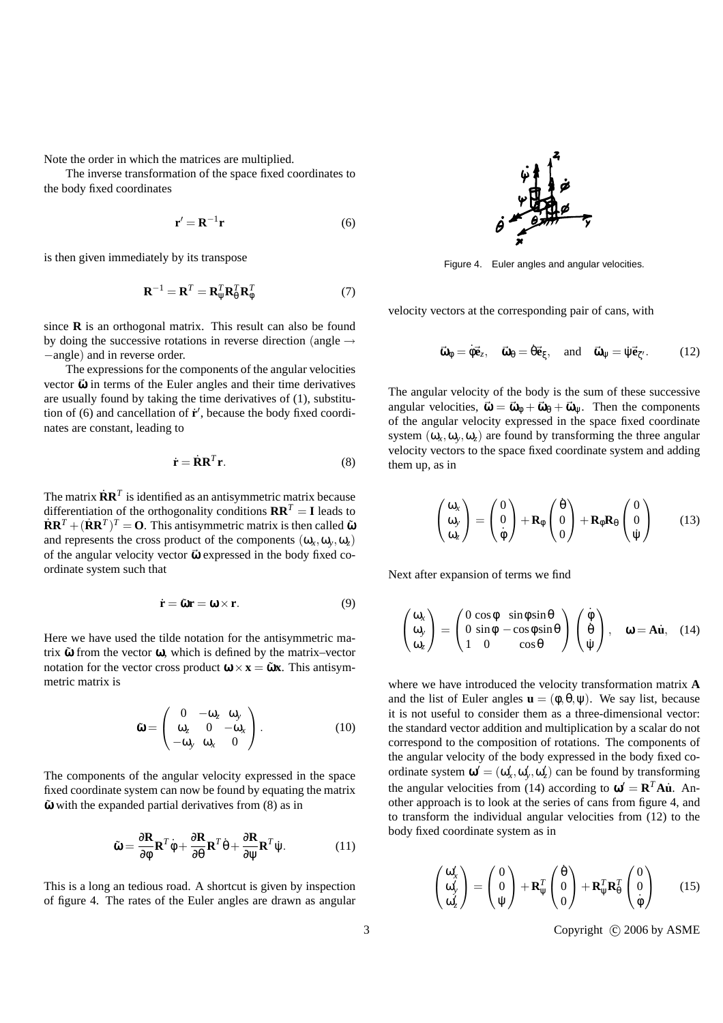Note the order in which the matrices are multiplied.

The inverse transformation of the space fixed coordinates to the body fixed coordinates

$$
\mathbf{r}' = \mathbf{R}^{-1} \mathbf{r} \tag{6}
$$

is then given immediately by its transpose

$$
\mathbf{R}^{-1} = \mathbf{R}^T = \mathbf{R}_{\Psi}^T \mathbf{R}_{\theta}^T \mathbf{R}_{\phi}^T
$$
 (7)

since **R** is an orthogonal matrix. This result can also be found by doing the successive rotations in reverse direction (angle  $\rightarrow$ −angle) and in reverse order.

The expressions for the components of the angular velocities vector  $\vec{\omega}$  in terms of the Euler angles and their time derivatives are usually found by taking the time derivatives of (1), substitution of (6) and cancellation of  $\dot{\mathbf{r}}'$ , because the body fixed coordinates are constant, leading to

$$
\dot{\mathbf{r}} = \dot{\mathbf{R}} \mathbf{R}^T \mathbf{r}.\tag{8}
$$

The matrix  $\dot{\mathbf{R}} \mathbf{R}^T$  is identified as an antisymmetric matrix because differentiation of the orthogonality conditions  $\mathbf{R}\mathbf{R}^T = \mathbf{I}$  leads to  $\dot{\mathbf{R}}\mathbf{R}^T + (\dot{\mathbf{R}}\mathbf{R}^T)^T = \mathbf{O}$ . This antisymmetric matrix is then called  $\tilde{\mathbf{w}}$ and represents the cross product of the components  $(\omega_x, \omega_y, \omega_z)$ of the angular velocity vector  $\vec{\omega}$  expressed in the body fixed coordinate system such that

$$
\dot{\mathbf{r}} = \tilde{\mathbf{\omega}} \mathbf{r} = \mathbf{\omega} \times \mathbf{r}.\tag{9}
$$

Here we have used the tilde notation for the antisymmetric matrix  $\tilde{\omega}$  from the vector  $\omega$ , which is defined by the matrix–vector notation for the vector cross product  $\mathbf{\omega} \times \mathbf{x} = \mathbf{\tilde{\omega}} \mathbf{x}$ . This antisymmetric matrix is

 $\overline{a}$ 

$$
\tilde{\mathbf{\omega}} = \begin{pmatrix} 0 & -\omega_z & \omega_y \\ \omega_z & 0 & -\omega_x \\ -\omega_y & \omega_x & 0 \end{pmatrix} . \tag{10}
$$

The components of the angular velocity expressed in the space fixed coordinate system can now be found by equating the matrix  $\tilde{\omega}$  with the expanded partial derivatives from (8) as in

$$
\tilde{\mathbf{\omega}} = \frac{\partial \mathbf{R}}{\partial \phi} \mathbf{R}^T \dot{\phi} + \frac{\partial \mathbf{R}}{\partial \theta} \mathbf{R}^T \dot{\theta} + \frac{\partial \mathbf{R}}{\partial \psi} \mathbf{R}^T \dot{\psi}.
$$
 (11)

This is a long an tedious road. A shortcut is given by inspection of figure 4. The rates of the Euler angles are drawn as angular



Figure 4. Euler angles and angular velocities.

velocity vectors at the corresponding pair of cans, with

$$
\vec{\omega}_{\phi} = \dot{\phi} \vec{e}_{z}, \quad \vec{\omega}_{\theta} = \dot{\theta} \vec{e}_{\xi}, \quad \text{and} \quad \vec{\omega}_{\psi} = \dot{\psi} \vec{e}_{\zeta'}.
$$
 (12)

The angular velocity of the body is the sum of these successive angular velocities,  $\vec{\omega} = \vec{\omega}_0 + \vec{\omega}_0 + \vec{\omega}_w$ . Then the components of the angular velocity expressed in the space fixed coordinate system  $(\omega_x, \omega_y, \omega_z)$  are found by transforming the three angular velocity vectors to the space fixed coordinate system and adding them up, as in

$$
\begin{pmatrix} \omega_x \\ \omega_y \\ \omega_z \end{pmatrix} = \begin{pmatrix} 0 \\ 0 \\ \dot{\phi} \end{pmatrix} + \mathbf{R}_{\phi} \begin{pmatrix} \dot{\theta} \\ 0 \\ 0 \end{pmatrix} + \mathbf{R}_{\phi} \mathbf{R}_{\theta} \begin{pmatrix} 0 \\ 0 \\ \dot{\psi} \end{pmatrix}
$$
 (13)

Next after expansion of terms we find

$$
\begin{pmatrix} \omega_x \\ \omega_y \\ \omega_z \end{pmatrix} = \begin{pmatrix} 0 \cos \phi & \sin \phi \sin \theta \\ 0 \sin \phi & -\cos \phi \sin \theta \\ 1 & 0 & \cos \theta \end{pmatrix} \begin{pmatrix} \dot{\phi} \\ \dot{\theta} \\ \dot{\psi} \end{pmatrix}, \quad \omega = A\dot{u}, \quad (14)
$$

where we have introduced the velocity transformation matrix **A** and the list of Euler angles  $\mathbf{u} = (\phi, \theta, \psi)$ . We say list, because it is not useful to consider them as a three-dimensional vector: the standard vector addition and multiplication by a scalar do not correspond to the composition of rotations. The components of the angular velocity of the body expressed in the body fixed coordinate system  $\mathbf{\omega}' = (\omega'_x, \omega'_y, \omega'_z)$  can be found by transforming the angular velocities from (14) according to  $\mathbf{\omega}' = \mathbf{R}^T \mathbf{A} \dot{\mathbf{u}}$ . Another approach is to look at the series of cans from figure 4, and to transform the individual angular velocities from (12) to the body fixed coordinate system as in

$$
\begin{pmatrix} \omega_x' \\ \omega_y' \\ \omega_z' \end{pmatrix} = \begin{pmatrix} 0 \\ 0 \\ \psi \end{pmatrix} + \mathbf{R}_{\psi}^T \begin{pmatrix} \dot{\theta} \\ 0 \\ 0 \end{pmatrix} + \mathbf{R}_{\psi}^T \mathbf{R}_{\theta}^T \begin{pmatrix} 0 \\ 0 \\ \dot{\phi} \end{pmatrix}
$$
 (15)

3 Copyright © 2006 by ASME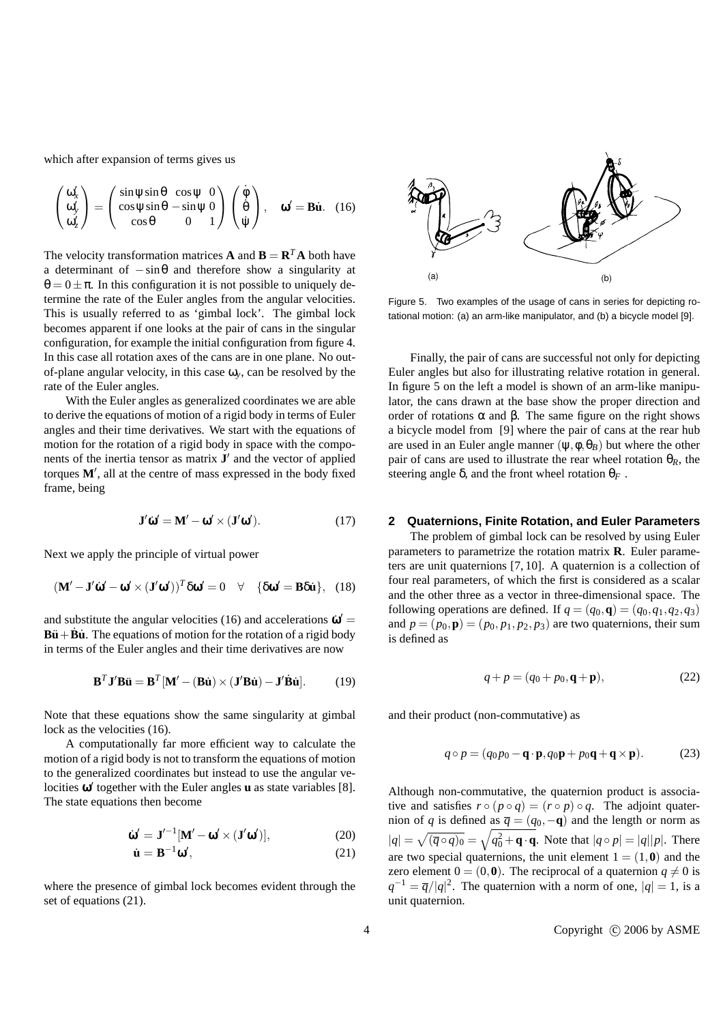which after expansion of terms gives us

$$
\begin{pmatrix} \omega_x' \\ \omega_y' \\ \omega_z' \end{pmatrix} = \begin{pmatrix} \sin \psi \sin \theta & \cos \psi & 0 \\ \cos \psi \sin \theta & -\sin \psi & 0 \\ \cos \theta & 0 & 1 \end{pmatrix} \begin{pmatrix} \dot{\phi} \\ \dot{\theta} \\ \dot{\psi} \end{pmatrix}, \quad \omega' = \mathbf{B}\dot{\mathbf{u}}. \quad (16)
$$

The velocity transformation matrices **A** and  $\mathbf{B} = \mathbf{R}^T \mathbf{A}$  both have a determinant of  $-\sin\theta$  and therefore show a singularity at  $\theta = 0 \pm \pi$ . In this configuration it is not possible to uniquely determine the rate of the Euler angles from the angular velocities. This is usually referred to as 'gimbal lock'. The gimbal lock becomes apparent if one looks at the pair of cans in the singular configuration, for example the initial configuration from figure 4. In this case all rotation axes of the cans are in one plane. No outof-plane angular velocity, in this case  $\omega_{v}$ , can be resolved by the rate of the Euler angles.

With the Euler angles as generalized coordinates we are able to derive the equations of motion of a rigid body in terms of Euler angles and their time derivatives. We start with the equations of motion for the rotation of a rigid body in space with the components of the inertia tensor as matrix  $J'$  and the vector of applied torques  $M'$ , all at the centre of mass expressed in the body fixed frame, being

$$
\mathbf{J}'\dot{\mathbf{\omega}}' = \mathbf{M}' - \mathbf{\omega}' \times (\mathbf{J}'\mathbf{\omega}'). \tag{17}
$$

Next we apply the principle of virtual power

$$
(\mathbf{M}' - \mathbf{J}'\hat{\mathbf{\omega}}' - \mathbf{\omega}' \times (\mathbf{J}'\mathbf{\omega}'))^T \delta \mathbf{\omega}' = 0 \quad \forall \quad \{\delta \mathbf{\omega}' = \mathbf{B} \delta \mathbf{\dot{u}}\}, \tag{18}
$$

and substitute the angular velocities (16) and accelerations  $\dot{\omega}'$  = **B** $\ddot{\mathbf{u}} + \dot{\mathbf{B}}\dot{\mathbf{u}}$ **. The equations of motion for the rotation of a rigid body** in terms of the Euler angles and their time derivatives are now

$$
\mathbf{B}^T \mathbf{J}' \mathbf{B} \ddot{\mathbf{u}} = \mathbf{B}^T [\mathbf{M}' - (\mathbf{B} \dot{\mathbf{u}}) \times (\mathbf{J}' \mathbf{B} \dot{\mathbf{u}}) - \mathbf{J}' \dot{\mathbf{B}} \dot{\mathbf{u}}].
$$
 (19)

Note that these equations show the same singularity at gimbal lock as the velocities  $(16)$ .

A computationally far more efficient way to calculate the motion of a rigid body is not to transform the equations of motion to the generalized coordinates but instead to use the angular velocities  $\omega'$  together with the Euler angles **u** as state variables [8]. The state equations then become

$$
\dot{\mathbf{\omega}}' = \mathbf{J}'^{-1} [\mathbf{M}' - \mathbf{\omega}' \times (\mathbf{J}' \mathbf{\omega}')],\tag{20}
$$

$$
\dot{\mathbf{u}} = \mathbf{B}^{-1} \mathbf{\omega}',\tag{21}
$$

where the presence of gimbal lock becomes evident through the set of equations (21).



Figure 5. Two examples of the usage of cans in series for depicting rotational motion: (a) an arm-like manipulator, and (b) a bicycle model [9].

Finally, the pair of cans are successful not only for depicting Euler angles but also for illustrating relative rotation in general. In figure 5 on the left a model is shown of an arm-like manipulator, the cans drawn at the base show the proper direction and order of rotations  $\alpha$  and  $\beta$ . The same figure on the right shows a bicycle model from [9] where the pair of cans at the rear hub are used in an Euler angle manner  $(\psi, \phi, \theta_B)$  but where the other pair of cans are used to illustrate the rear wheel rotation  $\theta_R$ , the steering angle  $\delta$ , and the front wheel rotation  $\theta_F$ .

#### **2 Quaternions, Finite Rotation, and Euler Parameters**

The problem of gimbal lock can be resolved by using Euler parameters to parametrize the rotation matrix **R**. Euler parameters are unit quaternions [7, 10]. A quaternion is a collection of four real parameters, of which the first is considered as a scalar and the other three as a vector in three-dimensional space. The following operations are defined. If  $q = (q_0, \mathbf{q}) = (q_0, q_1, q_2, q_3)$ and  $p = (p_0, \mathbf{p}) = (p_0, p_1, p_2, p_3)$  are two quaternions, their sum is defined as

$$
q + p = (q_0 + p_0, \mathbf{q} + \mathbf{p}),\tag{22}
$$

and their product (non-commutative) as

$$
q \circ p = (q_0 p_0 - \mathbf{q} \cdot \mathbf{p}, q_0 \mathbf{p} + p_0 \mathbf{q} + \mathbf{q} \times \mathbf{p}).
$$
 (23)

Although non-commutative, the quaternion product is associative and satisfies  $r \circ (p \circ q) = (r \circ p) \circ q$ . The adjoint quaternion of *q* is defined as  $\overline{q} = (q_0, -\mathbf{q})$  and the length or norm as  $|q| =$  $\ddot{\phantom{0}}$  $\overline{(\overline{q} \circ q)_0} = \sqrt{q_0^2 + \mathbf{q} \cdot \mathbf{q}}$ . Note that  $|q \circ p| = |q||p|$ . There are two special quaternions, the unit element  $1 = (1, 0)$  and the zero element  $0 = (0, 0)$ . The reciprocal of a quaternion  $q \neq 0$  is  $q^{-1} = \overline{q}/|q|^2$ . The quaternion with a norm of one,  $|q| = 1$ , is a unit quaternion.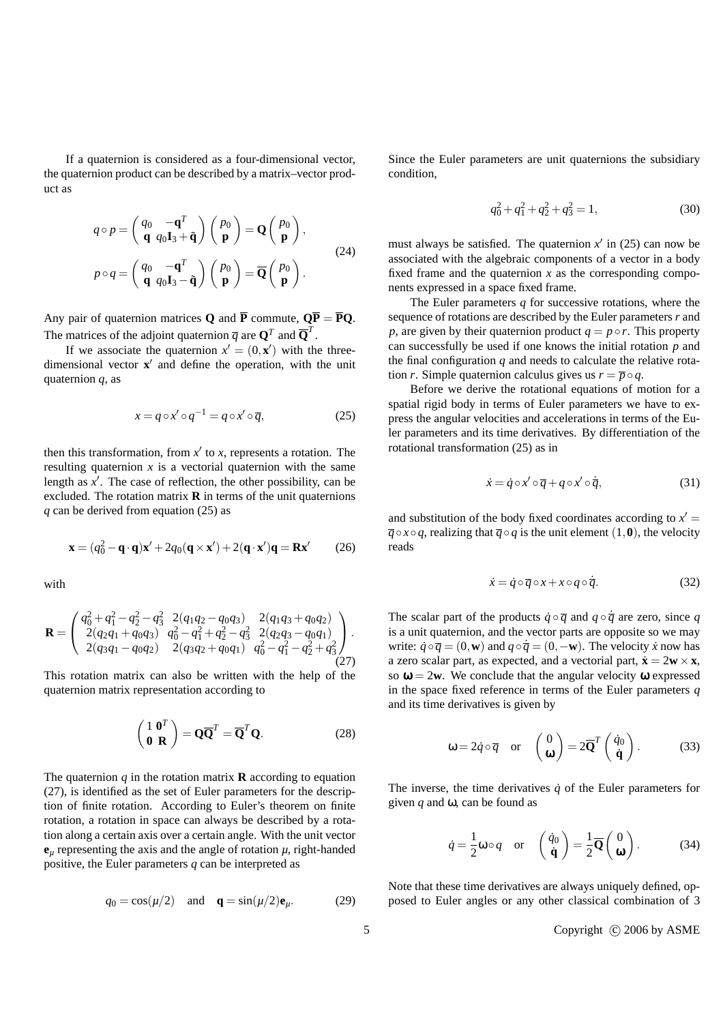If a quaternion is considered as a four-dimensional vector, the quaternion product can be described by a matrix–vector product as

$$
q \circ p = \begin{pmatrix} q_0 & -\mathbf{q}^T \\ \mathbf{q} & q_0 \mathbf{I}_3 + \tilde{\mathbf{q}} \end{pmatrix} \begin{pmatrix} p_0 \\ \mathbf{p} \end{pmatrix} = \mathbf{Q} \begin{pmatrix} p_0 \\ \mathbf{p} \end{pmatrix},
$$
  
\n
$$
p \circ q = \begin{pmatrix} q_0 & -\mathbf{q}^T \\ \mathbf{q} & q_0 \mathbf{I}_3 - \tilde{\mathbf{q}} \end{pmatrix} \begin{pmatrix} p_0 \\ \mathbf{p} \end{pmatrix} = \overline{\mathbf{Q}} \begin{pmatrix} p_0 \\ \mathbf{p} \end{pmatrix}.
$$
\n(24)

Any pair of quaternion matrices **Q** and  $\overline{P}$  commute,  $Q\overline{P} = \overline{P}Q$ . The matrices of the adjoint quaternion  $\overline{q}$  are  $\mathbf{Q}^T$  and  $\overline{\mathbf{Q}}^T$ .

If we associate the quaternion  $x' = (0, \mathbf{x}')$  with the threedimensional vector **x**<sup>'</sup> and define the operation, with the unit quaternion *q*, as

$$
x = q \circ x' \circ q^{-1} = q \circ x' \circ \overline{q},\tag{25}
$$

then this transformation, from  $x'$  to  $x$ , represents a rotation. The resulting quaternion  $x$  is a vectorial quaternion with the same length as  $x'$ . The case of reflection, the other possibility, can be excluded. The rotation matrix  $\bf{R}$  in terms of the unit quaternions *q* can be derived from equation (25) as

$$
\mathbf{x} = (q_0^2 - \mathbf{q} \cdot \mathbf{q})\mathbf{x}' + 2q_0(\mathbf{q} \times \mathbf{x}') + 2(\mathbf{q} \cdot \mathbf{x}')\mathbf{q} = \mathbf{R}\mathbf{x}'
$$
 (26)

with

$$
\mathbf{R} = \begin{pmatrix} q_0^2 + q_1^2 - q_2^2 - q_3^2 & 2(q_1q_2 - q_0q_3) & 2(q_1q_3 + q_0q_2) \\ 2(q_2q_1 + q_0q_3) & q_0^2 - q_1^2 + q_2^2 - q_3^2 & 2(q_2q_3 - q_0q_1) \\ 2(q_3q_1 - q_0q_2) & 2(q_3q_2 + q_0q_1) & q_0^2 - q_1^2 - q_2^2 + q_3^2 \end{pmatrix}.
$$
\n(27)

This rotation matrix can also be written with the help of the quaternion matrix representation according to

$$
\begin{pmatrix} 1 & \mathbf{0}^T \\ \mathbf{0} & \mathbf{R} \end{pmatrix} = \mathbf{Q}\overline{\mathbf{Q}}^T = \overline{\mathbf{Q}}^T \mathbf{Q}.
$$
 (28)

The quaternion  $q$  in the rotation matrix **R** according to equation (27), is identified as the set of Euler parameters for the description of finite rotation. According to Euler's theorem on finite rotation, a rotation in space can always be described by a rotation along a certain axis over a certain angle. With the unit vector  $\mathbf{e}_{\mu}$  representing the axis and the angle of rotation  $\mu$ , right-handed positive, the Euler parameters *q* can be interpreted as

$$
q_0 = \cos(\mu/2) \quad \text{and} \quad \mathbf{q} = \sin(\mu/2)\mathbf{e}_{\mu}.\tag{29}
$$

Since the Euler parameters are unit quaternions the subsidiary condition,

$$
q_0^2 + q_1^2 + q_2^2 + q_3^2 = 1,
$$
\t(30)

must always be satisfied. The quaternion  $x'$  in (25) can now be associated with the algebraic components of a vector in a body fixed frame and the quaternion  $x$  as the corresponding components expressed in a space fixed frame.

The Euler parameters *q* for successive rotations, where the sequence of rotations are described by the Euler parameters *r* and *p*, are given by their quaternion product  $q = p \circ r$ . This property can successfully be used if one knows the initial rotation *p* and the final configuration *q* and needs to calculate the relative rotation *r*. Simple quaternion calculus gives us  $r = \overline{p} \circ q$ .

Before we derive the rotational equations of motion for a spatial rigid body in terms of Euler parameters we have to express the angular velocities and accelerations in terms of the Euler parameters and its time derivatives. By differentiation of the rotational transformation (25) as in

$$
\dot{x} = \dot{q} \circ x' \circ \overline{q} + q \circ x' \circ \dot{\overline{q}},\tag{31}
$$

and substitution of the body fixed coordinates according to  $x' =$  $\overline{q} \circ x \circ q$ , realizing that  $\overline{q} \circ q$  is the unit element (1,0), the velocity reads

$$
\dot{x} = \dot{q} \circ \overline{q} \circ x + x \circ q \circ \dot{\overline{q}}.\tag{32}
$$

The scalar part of the products  $\dot{q} \circ \overline{q}$  and  $q \circ \dot{\overline{q}}$  are zero, since *q* is a unit quaternion, and the vector parts are opposite so we may write:  $\dot{q} \circ \overline{q} = (0, \mathbf{w})$  and  $q \circ \overline{q} = (0, -\mathbf{w})$ . The velocity *x* now has a zero scalar part, as expected, and a vectorial part,  $\dot{\mathbf{x}} = 2\mathbf{w} \times \mathbf{x}$ , so  $\omega = 2w$ . We conclude that the angular velocity  $\omega$  expressed in the space fixed reference in terms of the Euler parameters *q* and its time derivatives is given by

$$
\omega = 2\dot{q} \circ \overline{q}
$$
 or  $\begin{pmatrix} 0 \\ \mathbf{\omega} \end{pmatrix} = 2\overline{\mathbf{Q}}^T \begin{pmatrix} \dot{q}_0 \\ \dot{\mathbf{q}} \end{pmatrix}$ . (33)

The inverse, the time derivatives  $\dot{q}$  of the Euler parameters for given *q* and ω, can be found as

$$
\dot{q} = \frac{1}{2}\omega \circ q
$$
 or  $\begin{pmatrix} \dot{q}_0 \\ \dot{\mathbf{q}} \end{pmatrix} = \frac{1}{2}\overline{\mathbf{Q}}\begin{pmatrix} 0 \\ \boldsymbol{\omega} \end{pmatrix}$ . (34)

Note that these time derivatives are always uniquely defined, opposed to Euler angles or any other classical combination of 3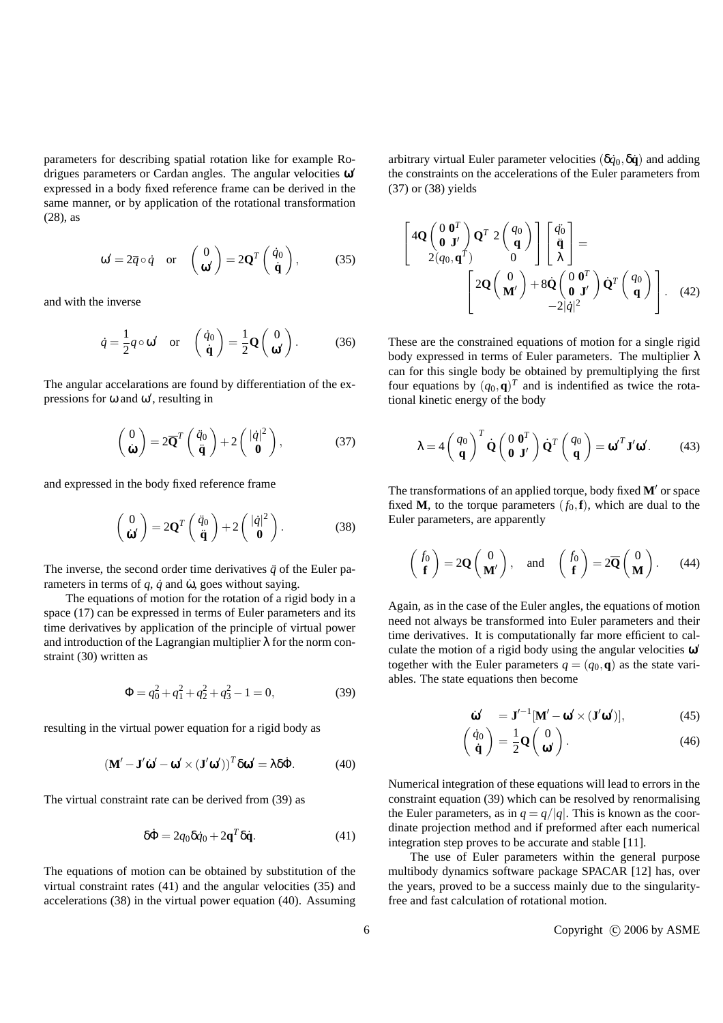parameters for describing spatial rotation like for example Rodrigues parameters or Cardan angles. The angular velocities  $\omega'$ expressed in a body fixed reference frame can be derived in the same manner, or by application of the rotational transformation (28), as

$$
\omega' = 2\overline{q} \circ \dot{q}
$$
 or  $\begin{pmatrix} 0 \\ \omega' \end{pmatrix} = 2\mathbf{Q}^T \begin{pmatrix} \dot{q}_0 \\ \dot{\mathbf{q}} \end{pmatrix}$ , (35)

and with the inverse

$$
\dot{q} = \frac{1}{2}q \circ \omega' \quad \text{or} \quad \begin{pmatrix} \dot{q}_0 \\ \dot{\mathbf{q}} \end{pmatrix} = \frac{1}{2}\mathbf{Q} \begin{pmatrix} 0 \\ \omega' \end{pmatrix}.
$$
 (36)

The angular accelarations are found by differentiation of the expressions for  $\omega$  and  $\omega'$ , resulting in

$$
\begin{pmatrix} 0 \\ \dot{\mathbf{\omega}} \end{pmatrix} = 2\overline{\mathbf{Q}}^T \begin{pmatrix} \ddot{q}_0 \\ \ddot{\mathbf{q}} \end{pmatrix} + 2 \begin{pmatrix} |\dot{q}|^2 \\ \mathbf{0} \end{pmatrix}, \tag{37}
$$

and expressed in the body fixed reference frame

$$
\begin{pmatrix} 0 \\ \dot{\mathbf{\omega}}' \end{pmatrix} = 2\mathbf{Q}^T \begin{pmatrix} \ddot{q}_0 \\ \ddot{\mathbf{q}} \end{pmatrix} + 2 \begin{pmatrix} |\dot{q}|^2 \\ \mathbf{0} \end{pmatrix}.
$$
 (38)

The inverse, the second order time derivatives  $\ddot{q}$  of the Euler parameters in terms of  $q$ ,  $\dot{q}$  and  $\dot{\omega}$ , goes without saying.

The equations of motion for the rotation of a rigid body in a space (17) can be expressed in terms of Euler parameters and its time derivatives by application of the principle of virtual power and introduction of the Lagrangian multiplier  $\lambda$  for the norm constraint (30) written as

$$
\Phi = q_0^2 + q_1^2 + q_2^2 + q_3^2 - 1 = 0,\tag{39}
$$

resulting in the virtual power equation for a rigid body as

$$
(\mathbf{M}' - \mathbf{J}'\dot{\mathbf{\omega}}' - \mathbf{\omega}' \times (\mathbf{J}'\mathbf{\omega}'))^T \delta \mathbf{\omega}' = \lambda \delta \dot{\Phi}.
$$
 (40)

The virtual constraint rate can be derived from (39) as

$$
\delta \dot{\Phi} = 2q_0 \delta \dot{q}_0 + 2\mathbf{q}^T \delta \dot{\mathbf{q}}.
$$
 (41)

The equations of motion can be obtained by substitution of the virtual constraint rates (41) and the angular velocities (35) and accelerations (38) in the virtual power equation (40). Assuming arbitrary virtual Euler parameter velocities  $(\delta \dot{q}_0, \delta \dot{q})$  and adding the constraints on the accelerations of the Euler parameters from (37) or (38) yields

$$
\begin{bmatrix}\n4\mathbf{Q} \begin{pmatrix} 0 & \mathbf{0}^T \\ \mathbf{0} & \mathbf{J}' \end{pmatrix} \mathbf{Q}^T & 2 \begin{pmatrix} q_0 \\ \mathbf{q} \end{pmatrix} \begin{bmatrix} \ddot{q}_0 \\ \ddot{\mathbf{q}} \\ \lambda \end{bmatrix} = \\
2\mathbf{Q} \begin{pmatrix} 0 \\ \mathbf{M}' \end{pmatrix} + 8\mathbf{Q} \begin{pmatrix} 0 & \mathbf{0}^T \\ \mathbf{0} & \mathbf{J}' \end{pmatrix} \mathbf{Q}^T \begin{pmatrix} q_0 \\ \mathbf{q} \end{pmatrix} .\n\tag{42}
$$

These are the constrained equations of motion for a single rigid body expressed in terms of Euler parameters. The multiplier  $\lambda$ can for this single body be obtained by premultiplying the first four equations by  $(q_0, \mathbf{q})^T$  and is indentified as twice the rotational kinetic energy of the body

$$
\lambda = 4 \begin{pmatrix} q_0 \\ \mathbf{q} \end{pmatrix}^T \dot{\mathbf{Q}} \begin{pmatrix} 0 & \mathbf{0}^T \\ \mathbf{0} & \mathbf{J}' \end{pmatrix} \dot{\mathbf{Q}}^T \begin{pmatrix} q_0 \\ \mathbf{q} \end{pmatrix} = \boldsymbol{\omega}'^T \mathbf{J}' \boldsymbol{\omega}'. \qquad (43)
$$

The transformations of an applied torque, body fixed  $M'$  or space fixed **M**, to the torque parameters  $(f_0, \mathbf{f})$ , which are dual to the Euler parameters, are apparently

$$
\begin{pmatrix} f_0 \\ \mathbf{f} \end{pmatrix} = 2\mathbf{Q} \begin{pmatrix} 0 \\ \mathbf{M'} \end{pmatrix}
$$
, and  $\begin{pmatrix} f_0 \\ \mathbf{f} \end{pmatrix} = 2\overline{\mathbf{Q}} \begin{pmatrix} 0 \\ \mathbf{M} \end{pmatrix}$ . (44)

Again, as in the case of the Euler angles, the equations of motion need not always be transformed into Euler parameters and their time derivatives. It is computationally far more efficient to calculate the motion of a rigid body using the angular velocities  $\boldsymbol{\omega}^{\prime}$ together with the Euler parameters  $q = (q_0, \mathbf{q})$  as the state variables. The state equations then become

$$
\dot{\mathbf{\omega}}' = \mathbf{J}'^{-1} [\mathbf{M}' - \mathbf{\omega}' \times (\mathbf{J}' \mathbf{\omega}')], \tag{45}
$$

$$
\begin{pmatrix} \dot{q}_0 \\ \dot{\mathbf{q}} \end{pmatrix} = \frac{1}{2} \mathbf{Q} \begin{pmatrix} 0 \\ \mathbf{\omega} \end{pmatrix} . \tag{46}
$$

Numerical integration of these equations will lead to errors in the constraint equation (39) which can be resolved by renormalising the Euler parameters, as in  $q = q/|q|$ . This is known as the coordinate projection method and if preformed after each numerical integration step proves to be accurate and stable [11].

The use of Euler parameters within the general purpose multibody dynamics software package SPACAR [12] has, over the years, proved to be a success mainly due to the singularityfree and fast calculation of rotational motion.